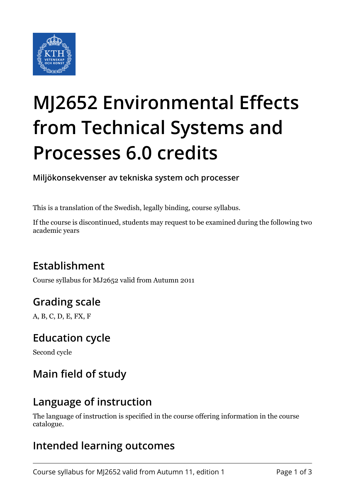

# **MJ2652 Environmental Effects from Technical Systems and Processes 6.0 credits**

**Miljökonsekvenser av tekniska system och processer**

This is a translation of the Swedish, legally binding, course syllabus.

If the course is discontinued, students may request to be examined during the following two academic years

# **Establishment**

Course syllabus for MJ2652 valid from Autumn 2011

# **Grading scale**

A, B, C, D, E, FX, F

#### **Education cycle**

Second cycle

# **Main field of study**

#### **Language of instruction**

The language of instruction is specified in the course offering information in the course catalogue.

#### **Intended learning outcomes**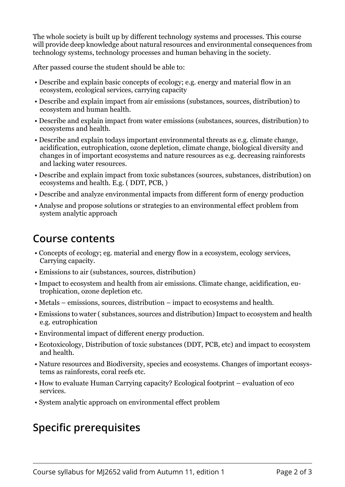The whole society is built up by different technology systems and processes. This course will provide deep knowledge about natural resources and environmental consequences from technology systems, technology processes and human behaving in the society.

After passed course the student should be able to:

- Describe and explain basic concepts of ecology; e.g. energy and material flow in an ecosystem, ecological services, carrying capacity
- Describe and explain impact from air emissions (substances, sources, distribution) to ecosystem and human health.
- Describe and explain impact from water emissions (substances, sources, distribution) to ecosystems and health.
- Describe and explain todays important environmental threats as e.g. climate change, acidification, eutrophication, ozone depletion, climate change, biological diversity and changes in of important ecosystems and nature resources as e.g. decreasing rainforests and lacking water resources.
- Describe and explain impact from toxic substances (sources, substances, distribution) on ecosystems and health. E.g. ( DDT, PCB, )
- Describe and analyze environmental impacts from different form of energy production
- Analyse and propose solutions or strategies to an environmental effect problem from system analytic approach

#### **Course contents**

- Concepts of ecology; eg. material and energy flow in a ecosystem, ecology services, Carrying capacity.
- Emissions to air (substances, sources, distribution)
- Impact to ecosystem and health from air emissions. Climate change, acidification, eutrophication, ozone depletion etc.
- Metals emissions, sources, distribution impact to ecosystems and health.
- Emissions to water ( substances, sources and distribution) Impact to ecosystem and health e.g. eutrophication
- Environmental impact of different energy production.
- Ecotoxicology, Distribution of toxic substances (DDT, PCB, etc) and impact to ecosystem and health.
- Nature resources and Biodiversity, species and ecosystems. Changes of important ecosystems as rainforests, coral reefs etc.
- How to evaluate Human Carrying capacity? Ecological footprint evaluation of eco services.
- System analytic approach on environmental effect problem

# **Specific prerequisites**